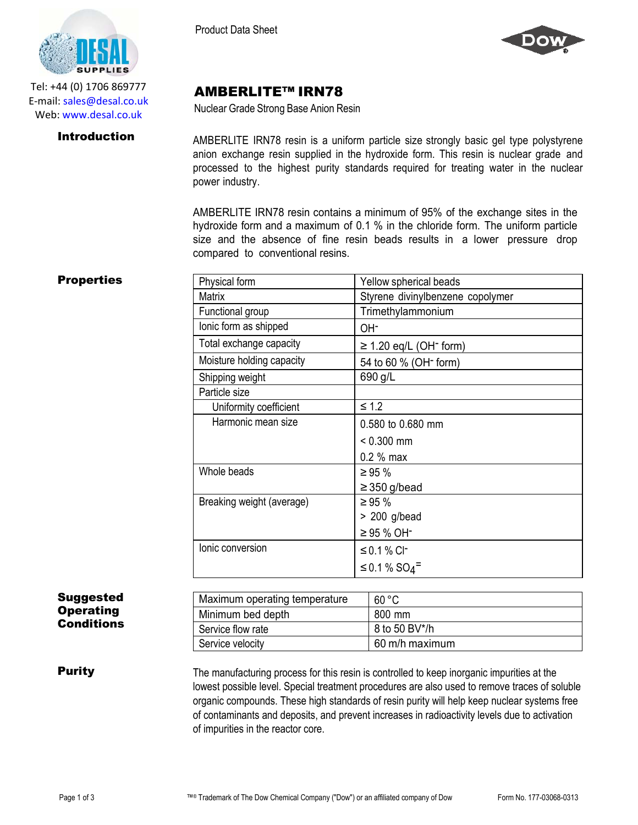

Tel: +44 (0) 1706 869777 E‐mail: sales@desal.co.uk Web: www.desal.co.uk

Product Data Sheet



# AMBERLITE™ IRN78

Nuclear Grade Strong Base Anion Resin

**Introduction** AMBERLITE IRN78 resin is a uniform particle size strongly basic gel type polystyrene anion exchange resin supplied in the hydroxide form. This resin is nuclear grade and processed to the highest purity standards required for treating water in the nuclear power industry.

> AMBERLITE IRN78 resin contains a minimum of 95% of the exchange sites in the hydroxide form and a maximum of 0.1 % in the chloride form. The uniform particle size and the absence of fine resin beads results in a lower pressure drop compared to conventional resins.

## **Properties**

| Physical form             | Yellow spherical beads                  |
|---------------------------|-----------------------------------------|
| <b>Matrix</b>             | Styrene divinylbenzene copolymer        |
| Functional group          | Trimethylammonium                       |
| lonic form as shipped     | OH-                                     |
| Total exchange capacity   | $\geq$ 1.20 eq/L (OH <sup>-</sup> form) |
| Moisture holding capacity | 54 to 60 % (OH <sup>-</sup> form)       |
| Shipping weight           | 690 g/L                                 |
| Particle size             |                                         |
| Uniformity coefficient    | $\leq 1.2$                              |
| Harmonic mean size        | 0.580 to 0.680 mm                       |
|                           | $< 0.300$ mm                            |
|                           | $0.2 %$ max                             |
| Whole beads               | $\geq 95 \%$                            |
|                           | $\geq$ 350 g/bead                       |
| Breaking weight (average) | $\geq 95 \%$                            |
|                           | $> 200$ g/bead                          |
|                           | $≥ 95 \% OH^-$                          |
| lonic conversion          | ≤ 0.1 % Cl <sup>-</sup>                 |
|                           | ≤ 0.1 % SO <sub>4</sub> <sup>=</sup>    |

### Suggested **Operating Conditions**

| Maximum operating temperature | 60 °C          |
|-------------------------------|----------------|
| Minimum bed depth             | 800 mm         |
| Service flow rate             | 8 to 50 BV*/h  |
| Service velocity              | 60 m/h maximum |

**Purity** The manufacturing process for this resin is controlled to keep inorganic impurities at the lowest possible level. Special treatment procedures are also used to remove traces of soluble organic compounds. These high standards of resin purity will help keep nuclear systems free of contaminants and deposits, and prevent increases in radioactivity levels due to activation of impurities in the reactor core.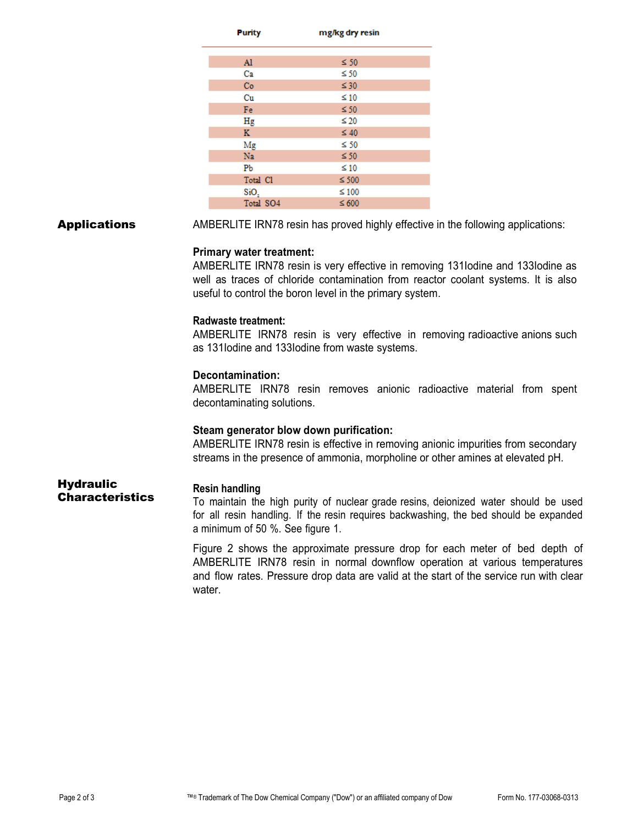| <b>Purity</b> | mg/kg dry resin |  |
|---------------|-----------------|--|
|               |                 |  |
| Al            | $\leq 50$       |  |
| Ca            | $\leq 50$       |  |
| Co            | $\leq 30$       |  |
| Cu            | $\leq 10$       |  |
| Fe            | $\leq 50$       |  |
| Hg            | $\leq 20$       |  |
| K.            | $\leq 40$       |  |
| Mg            | $\leq 50$       |  |
| Na            | $\leq 50$       |  |
| Pb            | $\leq 10$       |  |
| Total Cl      | $\leq 500$      |  |
| SiO,          | $\leq 100$      |  |
| Total SO4     | $\leq 600$      |  |

**Applications** AMBERLITE IRN78 resin has proved highly effective in the following applications:

### **Primary water treatment:**

AMBERLITE IRN78 resin is very effective in removing 131Iodine and 133Iodine as well as traces of chloride contamination from reactor coolant systems. It is also useful to control the boron level in the primary system.

### **Radwaste treatment:**

AMBERLITE IRN78 resin is very effective in removing radioactive anions such as 131Iodine and 133Iodine from waste systems.

### **Decontamination:**

AMBERLITE IRN78 resin removes anionic radioactive material from spent decontaminating solutions.

### **Steam generator blow down purification:**

AMBERLITE IRN78 resin is effective in removing anionic impurities from secondary streams in the presence of ammonia, morpholine or other amines at elevated pH.

**Hydraulic** Characteristics

### **Resin handling**

To maintain the high purity of nuclear grade resins, deionized water should be used for all resin handling. If the resin requires backwashing, the bed should be expanded a minimum of 50 %. See figure 1.

Figure 2 shows the approximate pressure drop for each meter of bed depth of AMBERLITE IRN78 resin in normal downflow operation at various temperatures and flow rates. Pressure drop data are valid at the start of the service run with clear water.